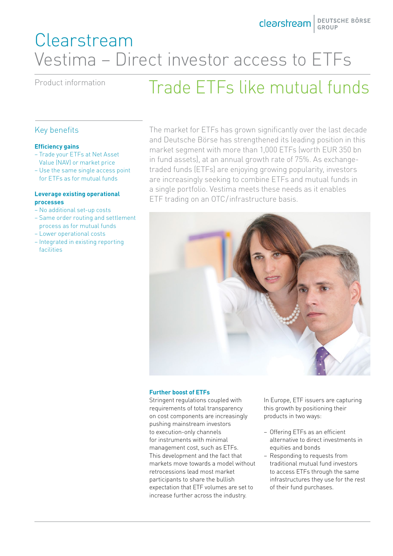## Clearstream Vestima – Direct investor access to ETFs

# Product information Trade ETFs like mutual funds

### Key benefits

### **Efficiency gains**

- Trade your ETFs at Net Asset Value (NAV) or market price
- Use the same single access point for ETFs as for mutual funds

### **Leverage existing operational processes**

- No additional set-up costs
- Same order routing and settlement process as for mutual funds
- Lower operational costs
- Integrated in existing reporting facilities

The market for ETFs has grown significantly over the last decade and Deutsche Börse has strengthened its leading position in this market segment with more than 1,000 ETFs (worth EUR 350 bn in fund assets), at an annual growth rate of 75%. As exchangetraded funds (ETFs) are enjoying growing popularity, investors are increasingly seeking to combine ETFs and mutual funds in a single portfolio. Vestima meets these needs as it enables ETF trading on an OTC/infrastructure basis.



### **Further boost of ETFs**

Stringent regulations coupled with requirements of total transparency on cost components are increasingly pushing mainstream investors to execution-only channels for instruments with minimal management cost, such as ETFs. This development and the fact that markets move towards a model without retrocessions lead most market participants to share the bullish expectation that ETF volumes are set to increase further across the industry.

In Europe, ETF issuers are capturing this growth by positioning their products in two ways:

- Offering ETFs as an efficient alternative to direct investments in equities and bonds
- Responding to requests from traditional mutual fund investors to access ETFs through the same infrastructures they use for the rest of their fund purchases.